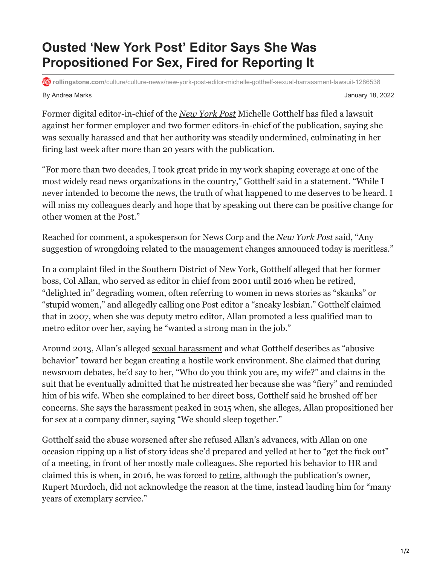## **Ousted 'New York Post' Editor Says She Was Propositioned For Sex, Fired for Reporting It**

**rollingstone.com**[/culture/culture-news/new-york-post-editor-michelle-gotthelf-sexual-harrassment-lawsuit-1286538](https://www.rollingstone.com/culture/culture-news/new-york-post-editor-michelle-gotthelf-sexual-harrassment-lawsuit-1286538/)

By Andrea Marks January 18, 2022

Former digital editor-in-chief of the *[New York Post](https://www.rollingstone.com/t/new-york-post/)* Michelle Gotthelf has filed a lawsuit against her former employer and two former editors-in-chief of the publication, saying she was sexually harassed and that her authority was steadily undermined, culminating in her firing last week after more than 20 years with the publication.

"For more than two decades, I took great pride in my work shaping coverage at one of the most widely read news organizations in the country," Gotthelf said in a statement. "While I never intended to become the news, the truth of what happened to me deserves to be heard. I will miss my colleagues dearly and hope that by speaking out there can be positive change for other women at the Post."

Reached for comment, a spokesperson for News Corp and the *New York Post* said, "Any suggestion of wrongdoing related to the management changes announced today is meritless."

In a complaint filed in the Southern District of New York, Gotthelf alleged that her former boss, Col Allan, who served as editor in chief from 2001 until 2016 when he retired, "delighted in" degrading women, often referring to women in news stories as "skanks" or "stupid women," and allegedly calling one Post editor a "sneaky lesbian." Gotthelf claimed that in 2007, when she was deputy metro editor, Allan promoted a less qualified man to metro editor over her, saying he "wanted a strong man in the job."

Around 2013, Allan's alleged [sexual harassment](https://www.rollingstone.com/t/sexual-harassment/) and what Gotthelf describes as "abusive behavior" toward her began creating a hostile work environment. She claimed that during newsroom debates, he'd say to her, "Who do you think you are, my wife?" and claims in the suit that he eventually admitted that he mistreated her because she was "fiery" and reminded him of his wife. When she complained to her direct boss, Gotthelf said he brushed off her concerns. She says the harassment peaked in 2015 when, she alleges, Allan propositioned her for sex at a company dinner, saying "We should sleep together."

Gotthelf said the abuse worsened after she refused Allan's advances, with Allan on one occasion ripping up a list of story ideas she'd prepared and yelled at her to "get the fuck out" of a meeting, in front of her mostly male colleagues. She reported his behavior to HR and claimed this is when, in 2016, he was forced to [retire,](https://nypost.com/2016/04/14/longtime-post-editor-in-chief-col-allan-is-retiring/) although the publication's owner, Rupert Murdoch, did not acknowledge the reason at the time, instead lauding him for "many years of exemplary service."